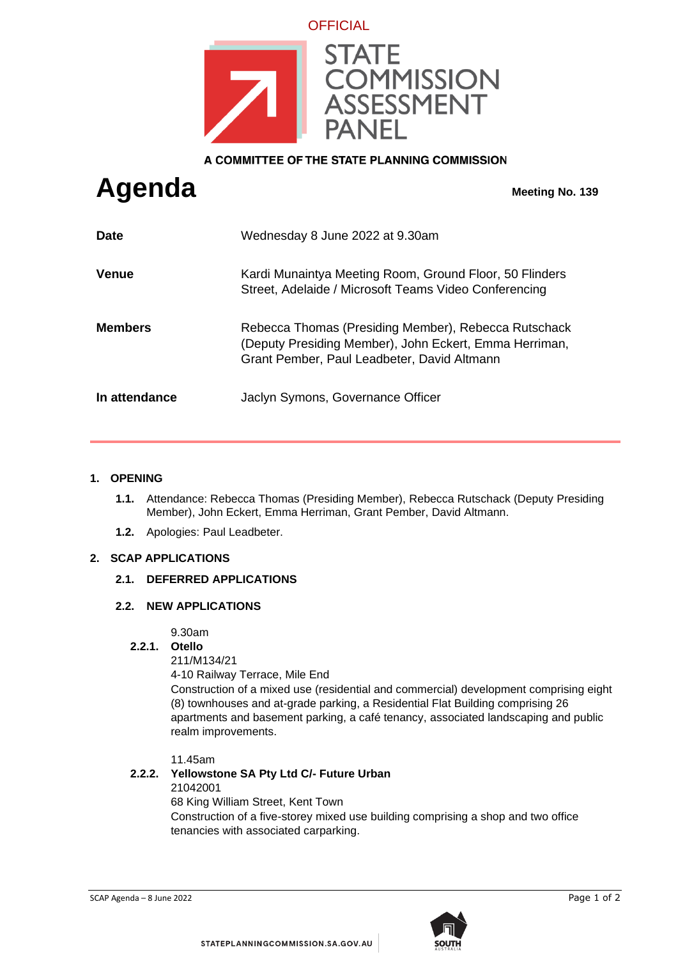

A COMMITTEE OF THE STATE PLANNING COMMISSION

# **Agenda Meeting No. 139**

| <b>Date</b>    | Wednesday 8 June 2022 at 9.30am                                                                                                                               |
|----------------|---------------------------------------------------------------------------------------------------------------------------------------------------------------|
| <b>Venue</b>   | Kardi Munaintya Meeting Room, Ground Floor, 50 Flinders<br>Street, Adelaide / Microsoft Teams Video Conferencing                                              |
| <b>Members</b> | Rebecca Thomas (Presiding Member), Rebecca Rutschack<br>(Deputy Presiding Member), John Eckert, Emma Herriman,<br>Grant Pember, Paul Leadbeter, David Altmann |
| In attendance  | Jaclyn Symons, Governance Officer                                                                                                                             |

## **1. OPENING**

- **1.1.** Attendance: Rebecca Thomas (Presiding Member), Rebecca Rutschack (Deputy Presiding Member), John Eckert, Emma Herriman, Grant Pember, David Altmann.
- **1.2.** Apologies: Paul Leadbeter.

## **2. SCAP APPLICATIONS**

## **2.1. DEFERRED APPLICATIONS**

#### **2.2. NEW APPLICATIONS**

9.30am

## **2.2.1. Otello**

211/M134/21

4-10 Railway Terrace, Mile End

Construction of a mixed use (residential and commercial) development comprising eight (8) townhouses and at-grade parking, a Residential Flat Building comprising 26 apartments and basement parking, a café tenancy, associated landscaping and public realm improvements.

11.45am

## **2.2.2. Yellowstone SA Pty Ltd C/- Future Urban**

21042001

68 King William Street, Kent Town

Construction of a five-storey mixed use building comprising a shop and two office tenancies with associated carparking.